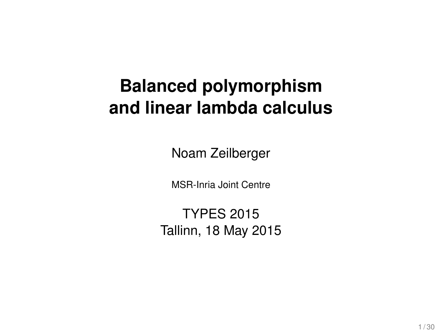# **Balanced polymorphism and linear lambda calculus**

Noam Zeilberger

MSR-Inria Joint Centre

TYPES 2015 Tallinn, 18 May 2015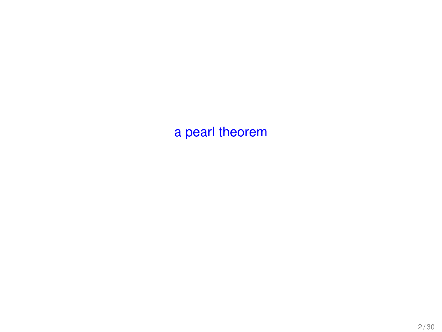<span id="page-1-0"></span>[a pearl theorem](#page-1-0)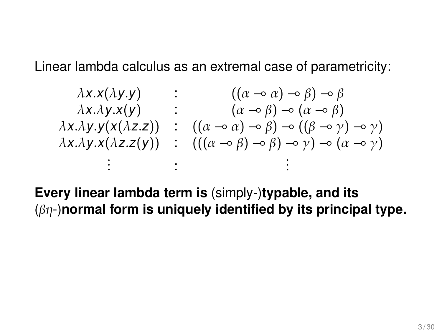Linear lambda calculus as an extremal case of parametricity:

$$
\lambda x. x(\lambda y. y) : ((\alpha \neg \alpha) \neg \beta) \neg \beta \lambda x. \lambda y. x(y) : (\alpha \neg \beta) \neg (\alpha \neg \beta) \lambda x. \lambda y. y(x(\lambda z. z)) : ((\alpha \neg \alpha) \neg \beta) \neg (\beta) \neg (\beta \neg \gamma) \neg \gamma) \lambda x. \lambda y. x(\lambda z. z(y)) : ((\alpha \neg \beta) \neg \beta) \neg \gamma) \neg (\alpha \neg \gamma) \vdots : ((\alpha \neg \beta) \neg \beta) \neg \gamma) \neg (\alpha \neg \gamma)
$$

**Every linear lambda term is** (simply-)**typable, and its** (βη-)**normal form is uniquely identified by its principal type.**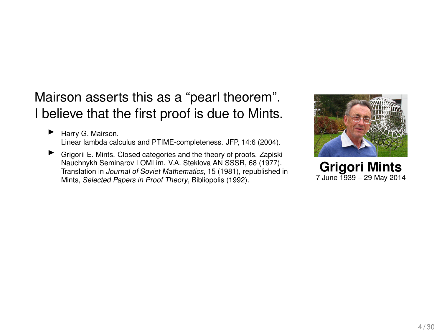## Mairson asserts this as a "pearl theorem". I believe that the first proof is due to Mints.

- Harry G. Mairson. Linear lambda calculus and PTIME-completeness. JFP, 14:6 (2004).
- ▶ Grigorii E. Mints. Closed categories and the theory of proofs. Zapiski Nauchnykh Seminarov LOMI im. V.A. Steklova AN SSSR, 68 (1977). Translation in Journal of Soviet Mathematics, 15 (1981), republished in Mints, Selected Papers in Proof Theory, Bibliopolis (1992).



**Grigori Mints** 7 June 1939 – 29 May 2014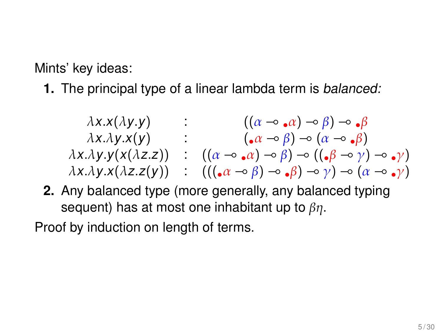Mints' key ideas:

**1.** The principal type of a linear lambda term is balanced:

$$
\lambda x. x(\lambda y. y) : ((\alpha \neg \bullet \alpha) \neg \beta) \neg \bullet \beta
$$
\n
$$
\lambda x. \lambda y. x(y) : ((\alpha \neg \bullet \beta) \neg (\alpha \neg \bullet \beta))
$$
\n
$$
\lambda x. \lambda y. y(x(\lambda z. z)) : ((\alpha \neg \bullet \alpha) \neg \beta) \neg (\beta \neg (\beta \neg \gamma) \neg \bullet \gamma)
$$
\n
$$
\lambda x. \lambda y. x(\lambda z. z(y)) : (((\bullet \alpha \neg \beta) \neg \bullet \beta) \neg \gamma) \neg (\alpha \neg \bullet \gamma)
$$

**2.** Any balanced type (more generally, any balanced typing sequent) has at most one inhabitant up to  $\beta n$ .

Proof by induction on length of terms.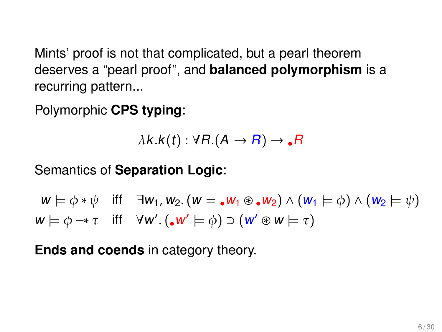Mints' proof is not that complicated, but a pearl theorem deserves a "pearl proof", and **balanced polymorphism** is a recurring pattern...

Polymorphic **CPS typing**:

$$
\lambda k.k(t): \forall R.(A \rightarrow R) \rightarrow \bullet R
$$

Semantics of **Separation Logic**:

 $w \models \phi * \psi$  iff  $\exists w_1, w_2.$   $(w = \bullet w_1 \circledast \bullet w_2) \wedge (w_1 \models \phi) \wedge (w_2 \models \psi)$  $w \models \phi \rightarrow \tau$  iff  $\forall w'.(\bullet w' \models \phi) \supset (w' \circledast w \models \tau)$ 

**Ends and coends** in category theory.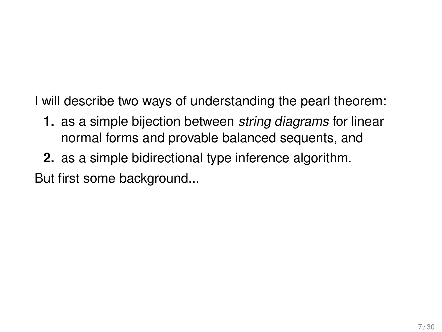I will describe two ways of understanding the pearl theorem:

- **1.** as a simple bijection between string diagrams for linear normal forms and provable balanced sequents, and
- **2.** as a simple bidirectional type inference algorithm. But first some background...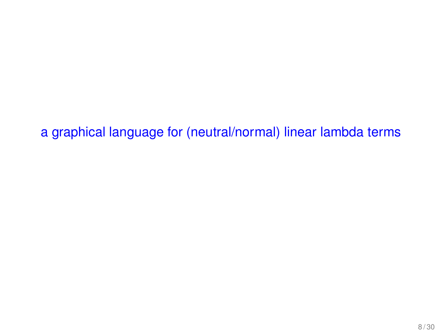<span id="page-7-0"></span>[a graphical language for \(neutral/normal\) linear lambda terms](#page-7-0)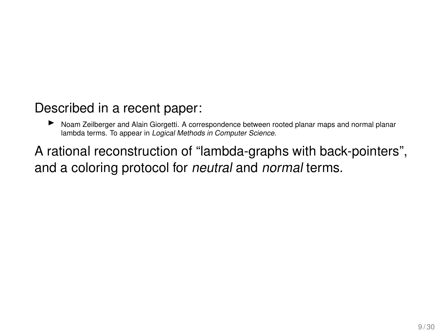#### Described in a recent paper:

**IN** Noam Zeilberger and Alain Giorgetti. A correspondence between rooted planar maps and normal planar lambda terms. To appear in Logical Methods in Computer Science.

A rational reconstruction of "lambda-graphs with back-pointers", and a coloring protocol for neutral and normal terms.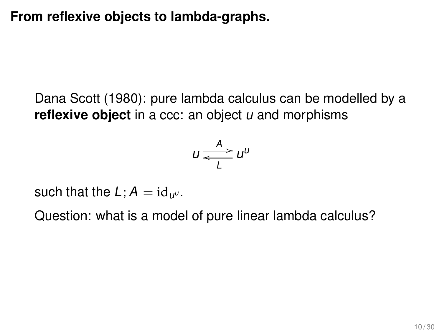**From reflexive objects to lambda-graphs.**

Dana Scott (1980): pure lambda calculus can be modelled by a **reflexive object** in a ccc: an object u and morphisms

$$
u \xrightarrow[L]{A} u^u
$$

such that the L;  $A = \mathrm{id}_{u^\mu}$ .

Question: what is a model of pure linear lambda calculus?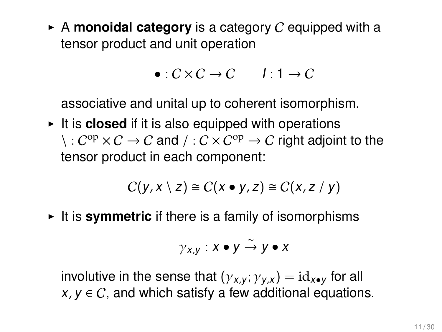$\triangleright$  A **monoidal category** is a category C equipped with a tensor product and unit operation

$$
\bullet: C \times C \to C \qquad l: 1 \to C
$$

associative and unital up to coherent isomorphism.

 $\blacktriangleright$  It is **closed** if it is also equipped with operations  $\backslash : C^{op} \times C \to C$  and  $\backslash : C \times C^{op} \to C$  right adjoint to the tensor product in each component:

$$
C(y,x\setminus z)\cong C(x\bullet y,z)\cong C(x,z\mathbin{/} y)
$$

 $\triangleright$  It is **symmetric** if there is a family of isomorphisms

$$
\gamma_{x,y}: x \bullet y \xrightarrow{\sim} y \bullet x
$$

involutive in the sense that  $(\gamma_{x,y}; \gamma_{y,x}) = id_{x \bullet y}$  for all  $x, y \in C$ , and which satisfy a few additional equations.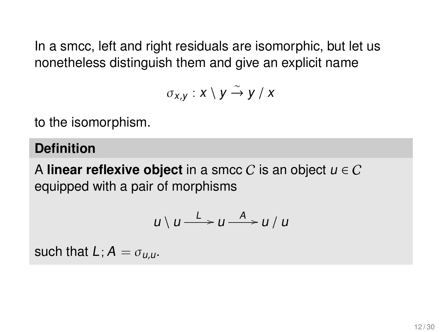In a smcc, left and right residuals are isomorphic, but let us nonetheless distinguish them and give an explicit name

$$
\sigma_{x,y}: x\setminus y\overset{\sim}{\to} y\mathbin{/} x
$$

to the isomorphism.

#### **Definition**

A **linear reflexive object** in a smcc C is an object  $u \in C$ equipped with a pair of morphisms

$$
u\setminus u\stackrel{L}{\longrightarrow} u\stackrel{A}{\longrightarrow} u\mid u
$$

such that  $L$ ;  $A = \sigma_{\mu\mu}$ .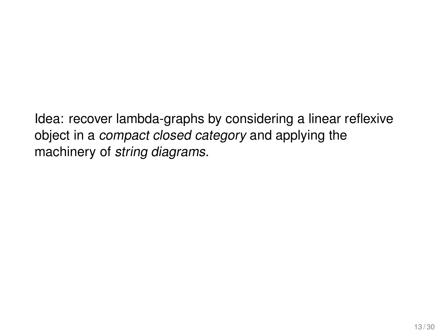Idea: recover lambda-graphs by considering a linear reflexive object in a compact closed category and applying the machinery of string diagrams.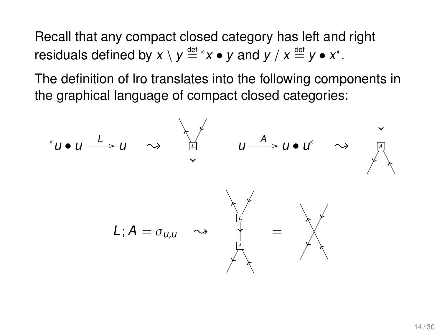Recall that any compact closed category has left and right residuals defined by  $x \setminus y \stackrel{\scriptscriptstyle{\mathsf{def}}}{=} * x \bullet y$  and  $y \mathbin{/} x \stackrel{\scriptscriptstyle{\mathsf{def}}}{=} y \bullet x^*.$ 

The definition of lro translates into the following components in the graphical language of compact closed categories:

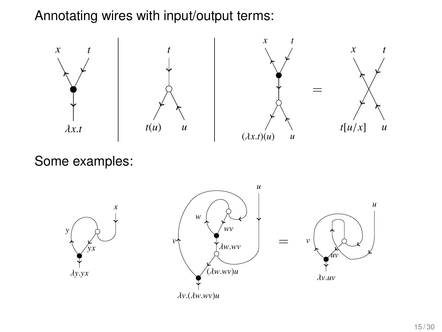Annotating wires with input/output terms:



Some examples:

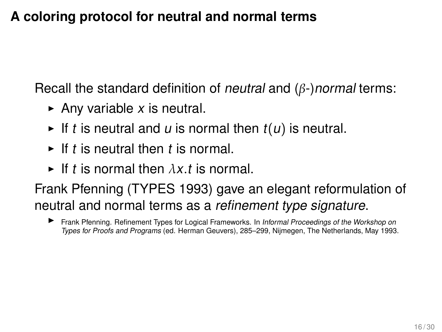### **A coloring protocol for neutral and normal terms**

Recall the standard definition of *neutral* and  $(\beta$ -)*normal* terms:

- Any variable  $x$  is neutral.
- If t is neutral and u is normal then  $t(u)$  is neutral.
- If t is neutral then t is normal.
- If t is normal then  $\lambda x.t$  is normal.

Frank Pfenning (TYPES 1993) gave an elegant reformulation of neutral and normal terms as a refinement type signature.

**IF** Frank Pfenning. Refinement Types for Logical Frameworks. In Informal Proceedings of the Workshop on Types for Proofs and Programs (ed. Herman Geuvers), 285–299, Nijmegen, The Netherlands, May 1993.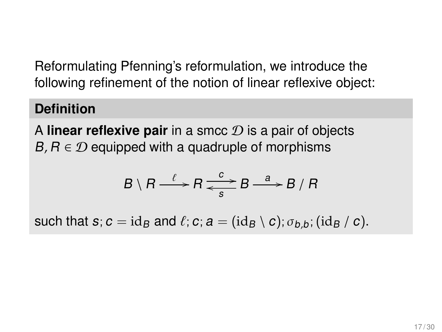Reformulating Pfenning's reformulation, we introduce the following refinement of the notion of linear reflexive object:

#### **Definition**

A **linear reflexive pair** in a smcc  $\mathcal{D}$  is a pair of objects  $B, B \in \mathcal{D}$  equipped with a quadruple of morphisms

$$
B \setminus R \xrightarrow{\ell} R \xrightarrow{\ c \ } B \xrightarrow{\ a \ } B / R
$$

such that s;  $c = id_B$  and  $\ell$ ; c;  $a = (id_B \setminus c)$ ;  $\sigma_{b,b}$ ;  $(id_B / c)$ .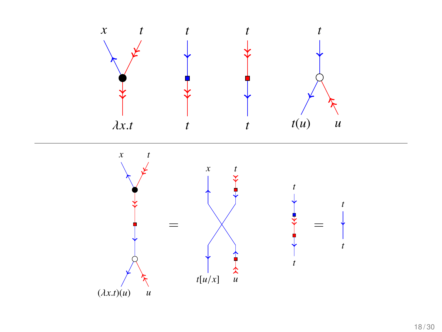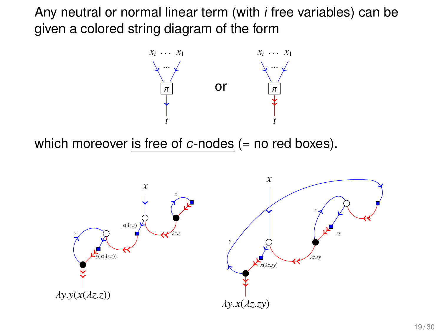Any neutral or normal linear term (with *i* free variables) can be given a colored string diagram of the form



which moreover is free of  $c$ -nodes (= no red boxes).

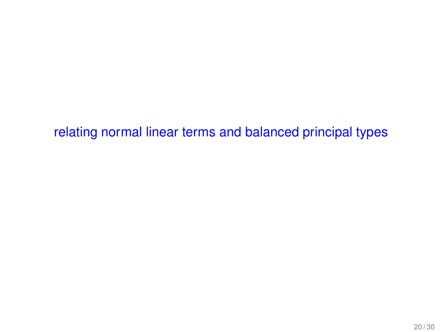<span id="page-19-0"></span>[relating normal linear terms and balanced principal types](#page-19-0)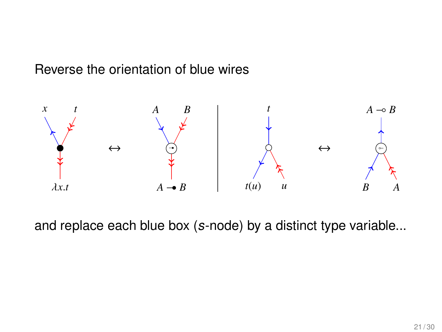#### Reverse the orientation of blue wires



and replace each blue box (s-node) by a distinct type variable...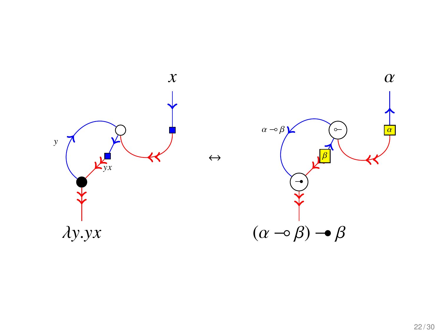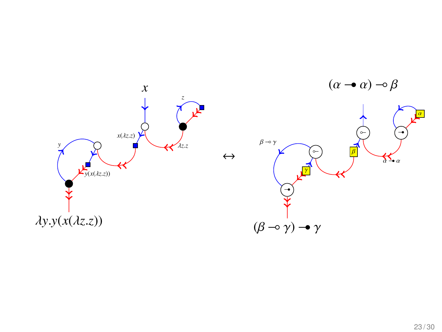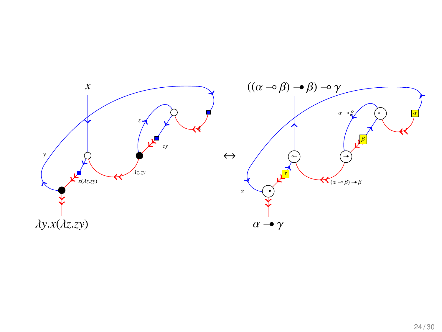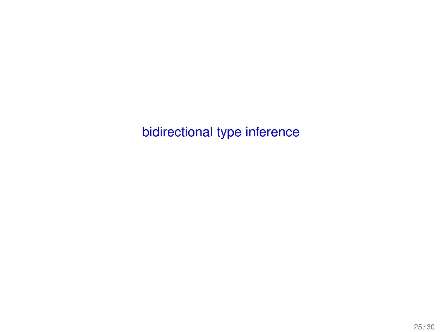<span id="page-24-0"></span>[bidirectional type inference](#page-24-0)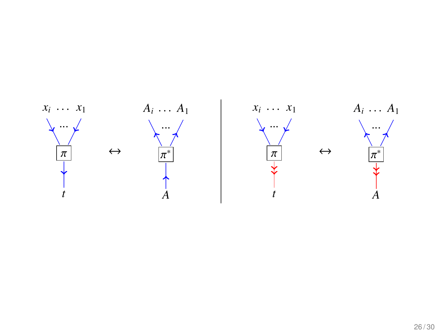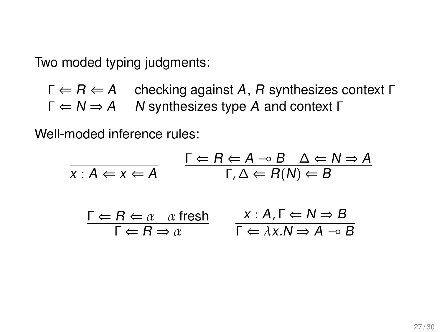Two moded typing judgments:

 $\Gamma \Leftarrow R \Leftarrow A$  checking against A, R synthesizes context Γ  $\Gamma \Leftarrow N \Rightarrow A$  N synthesizes type A and context Γ

Well-moded inference rules:

$$
\begin{array}{ccc}\n\overline{x:A \Leftarrow x \Leftarrow A} & \xrightarrow{\Gamma \Leftarrow R \Leftarrow A \multimap B} & \Delta \Leftarrow N \Rightarrow A \\
\overline{r, \Delta \Leftarrow R(N) \Leftarrow B} & & \\
\overline{r \Leftarrow R \Rightarrow \alpha} & \xrightarrow{\alpha \text{ fresh}} & \xrightarrow{\chi : A, \Gamma \Leftarrow N \Rightarrow B} \\
\hline\n\end{array}
$$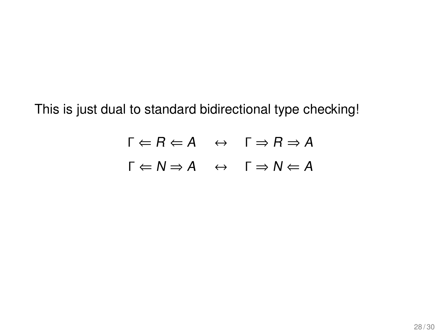This is just dual to standard bidirectional type checking!

$$
\begin{aligned}\n\Gamma &\Leftarrow R \Leftarrow A &\leftrightarrow & \Gamma \Rightarrow R \Rightarrow A \\
\Gamma &\Leftarrow N \Rightarrow A &\leftrightarrow & \Gamma \Rightarrow N \Leftarrow A\n\end{aligned}
$$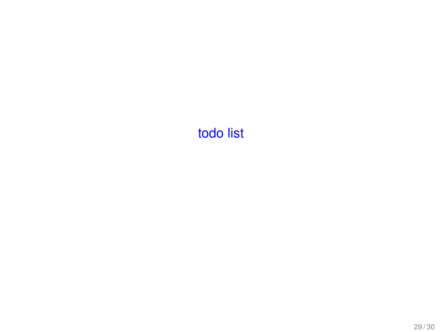## <span id="page-28-0"></span>[todo list](#page-28-0)